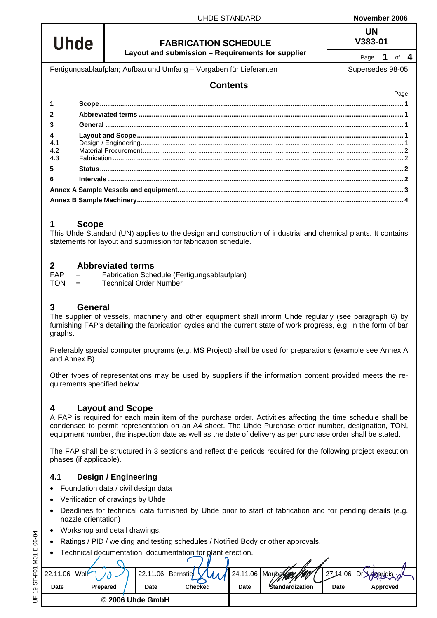| <b>Uhde</b> |                                                                    | <b>FABRICATION SCHEDULE</b>                       | uw<br>V383-01  |  |  |  |
|-------------|--------------------------------------------------------------------|---------------------------------------------------|----------------|--|--|--|
|             |                                                                    | Layout and submission - Requirements for supplier | of $4$<br>Page |  |  |  |
|             | Fertigungsablaufplan; Aufbau und Umfang - Vorgaben für Lieferanten | Supersedes 98-05                                  |                |  |  |  |
|             |                                                                    | <b>Contents</b>                                   |                |  |  |  |
|             |                                                                    |                                                   | Page           |  |  |  |
|             |                                                                    |                                                   |                |  |  |  |
|             |                                                                    |                                                   |                |  |  |  |
|             |                                                                    |                                                   |                |  |  |  |
| 4           |                                                                    |                                                   |                |  |  |  |
| 4.1         |                                                                    |                                                   |                |  |  |  |
| 4.2         |                                                                    |                                                   |                |  |  |  |
| 4.3         |                                                                    |                                                   |                |  |  |  |
| 5           |                                                                    |                                                   |                |  |  |  |
| ĥ           |                                                                    |                                                   |                |  |  |  |
|             |                                                                    |                                                   |                |  |  |  |
|             |                                                                    |                                                   |                |  |  |  |
|             |                                                                    |                                                   |                |  |  |  |

## <span id="page-0-0"></span>**1 Scope**

This Uhde Standard (UN) applies to the design and construction of industrial and chemical plants. It contains statements for layout and submission for fabrication schedule.

## <span id="page-0-1"></span>**2 Abbreviated terms**

FAP = Fabrication Schedule (Fertigungsablaufplan) TON = Technical Order Number

## <span id="page-0-2"></span>**3 General**

The supplier of vessels, machinery and other equipment shall inform Uhde regularly (see paragraph [6\)](#page-1-3) by furnishing FAP's detailing the fabrication cycles and the current state of work progress, e.g. in the form of bar graphs.

Preferably special computer programs (e.g. MS Project) shall be used for preparations (example see [Annex A](#page-2-0) and [Annex B\)](#page-2-1).

Other types of representations may be used by suppliers if the information content provided meets the requirements specified below.

## <span id="page-0-3"></span>**4 Layout and Scope**

A FAP is required for each main item of the purchase order. Activities affecting the time schedule shall be condensed to permit representation on an A4 sheet. The Uhde Purchase order number, designation, TON, equipment number, the inspection date as well as the date of delivery as per purchase order shall be stated.

The FAP shall be structured in 3 sections and reflect the periods required for the following project execution phases (if applicable).

## <span id="page-0-4"></span>**4.1 Design / Engineering**

- Foundation data / civil design data
- Verification of drawings by Uhde
- Deadlines for technical data furnished by Uhde prior to start of fabrication and for pending details (e.g. nozzle orientation)
- Workshop and detail drawings.
- Ratings / PID / welding and testing schedules / Notified Body or other approvals.
- Technical documentation, documentation for plant erection.

| 22.11.06 Wolf |          | 22.11.06   Bernstie |                | 24.11.06    | Mayberton /199/ | 27.14.06    | Dr. L<br><b>Lalgaridis</b> |
|---------------|----------|---------------------|----------------|-------------|-----------------|-------------|----------------------------|
| Date          | Prepared | Date                | <b>Checked</b> | <b>Date</b> | Standardization | <b>Date</b> | Approved                   |
|               |          | © 2006 Uhde GmbH    |                |             |                 |             |                            |

UHDE STANDARD **November 2006**

**UN**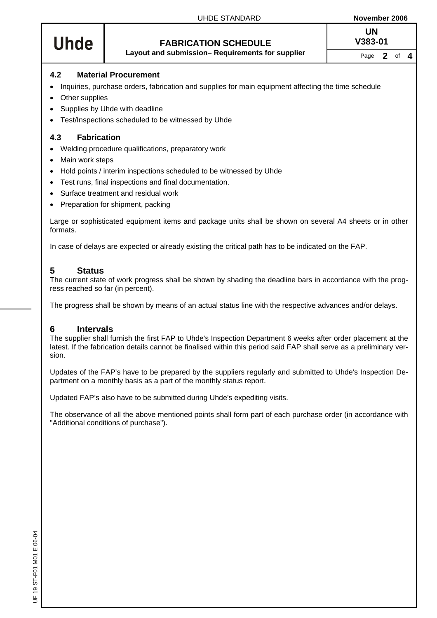# **Uhde**

# **FABRICATION SCHEDULE V383-01**

**UN**

**Layout and submission– Requirements for supplier** Page 2 of 4

## <span id="page-1-0"></span>**4.2 Material Procurement**

- Inquiries, purchase orders, fabrication and supplies for main equipment affecting the time schedule
- **Other supplies**
- Supplies by Uhde with deadline
- Test/Inspections scheduled to be witnessed by Uhde

## <span id="page-1-1"></span>**4.3 Fabrication**

- Welding procedure qualifications, preparatory work
- Main work steps
- Hold points / interim inspections scheduled to be witnessed by Uhde
- Test runs, final inspections and final documentation.
- Surface treatment and residual work
- Preparation for shipment, packing

Large or sophisticated equipment items and package units shall be shown on several A4 sheets or in other formats.

In case of delays are expected or already existing the critical path has to be indicated on the FAP.

## <span id="page-1-2"></span>**5 Status**

The current state of work progress shall be shown by shading the deadline bars in accordance with the progress reached so far (in percent).

The progress shall be shown by means of an actual status line with the respective advances and/or delays.

## <span id="page-1-3"></span>**6 Intervals**

The supplier shall furnish the first FAP to Uhde's Inspection Department 6 weeks after order placement at the latest. If the fabrication details cannot be finalised within this period said FAP shall serve as a preliminary version.

Updates of the FAP's have to be prepared by the suppliers regularly and submitted to Uhde's Inspection Department on a monthly basis as a part of the monthly status report.

Updated FAP's also have to be submitted during Uhde's expediting visits.

The observance of all the above mentioned points shall form part of each purchase order (in accordance with "Additional conditions of purchase").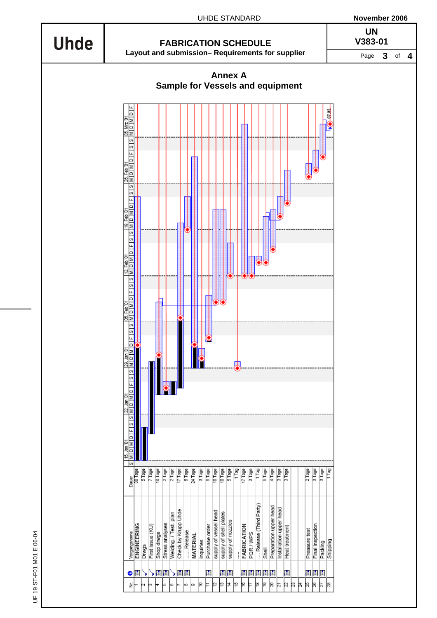<span id="page-2-1"></span><span id="page-2-0"></span>

UF 19 ST-F01 M01 E 06-04 UF 19 ST-F01 M01 E 06-04